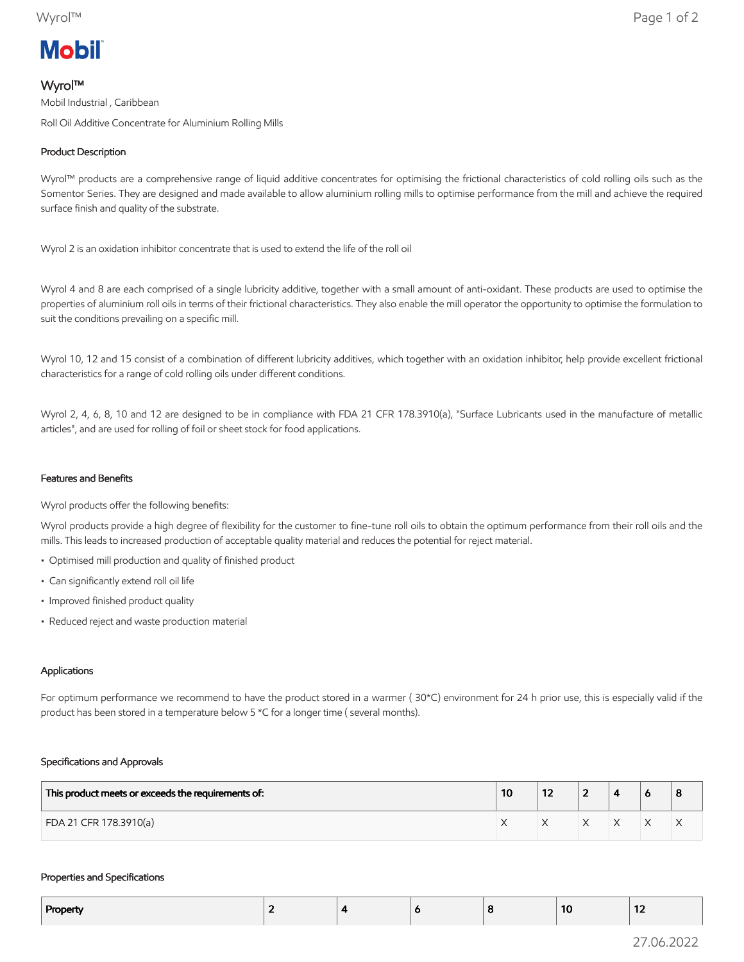# **Mobil**

## Wyrol™

Mobil Industrial , Caribbean Roll Oil Additive Concentrate for Aluminium Rolling Mills

## Product Description

Wyrol™ products are a comprehensive range of liquid additive concentrates for optimising the frictional characteristics of cold rolling oils such as the Somentor Series. They are designed and made available to allow aluminium rolling mills to optimise performance from the mill and achieve the required surface finish and quality of the substrate.

Wyrol 2 is an oxidation inhibitor concentrate that is used to extend the life of the roll oil

Wyrol 4 and 8 are each comprised of a single lubricity additive, together with a small amount of anti-oxidant. These products are used to optimise the properties of aluminium roll oils in terms of their frictional characteristics. They also enable the mill operator the opportunity to optimise the formulation to suit the conditions prevailing on a specific mill.

Wyrol 10, 12 and 15 consist of a combination of different lubricity additives, which together with an oxidation inhibitor, help provide excellent frictional characteristics for a range of cold rolling oils under different conditions.

Wyrol 2, 4, 6, 8, 10 and 12 are designed to be in compliance with FDA 21 CFR 178.3910(a), "Surface Lubricants used in the manufacture of metallic articles", and are used for rolling of foil or sheet stock for food applications.

### Features and Benefits

Wyrol products offer the following benefits:

Wyrol products provide a high degree of flexibility for the customer to fine-tune roll oils to obtain the optimum performance from their roll oils and the mills. This leads to increased production of acceptable quality material and reduces the potential for reject material.

- Optimised mill production and quality of finished product
- Can significantly extend roll oil life
- Improved finished product quality
- Reduced reject and waste production material

#### Applications

For optimum performance we recommend to have the product stored in a warmer ( 30\*C) environment for 24 h prior use, this is especially valid if the product has been stored in a temperature below 5 \*C for a longer time ( several months).

#### Specifications and Approvals

| This product meets or exceeds the requirements of: | 10 | 14 | - |  | 8 |
|----------------------------------------------------|----|----|---|--|---|
| FDA 21 CFR 178.3910(a)                             |    |    |   |  | ∧ |

#### Properties and Specifications

| Property | . . |  | -10 | $\sim$<br>$\overline{\phantom{a}}$ |
|----------|-----|--|-----|------------------------------------|
|          |     |  |     |                                    |